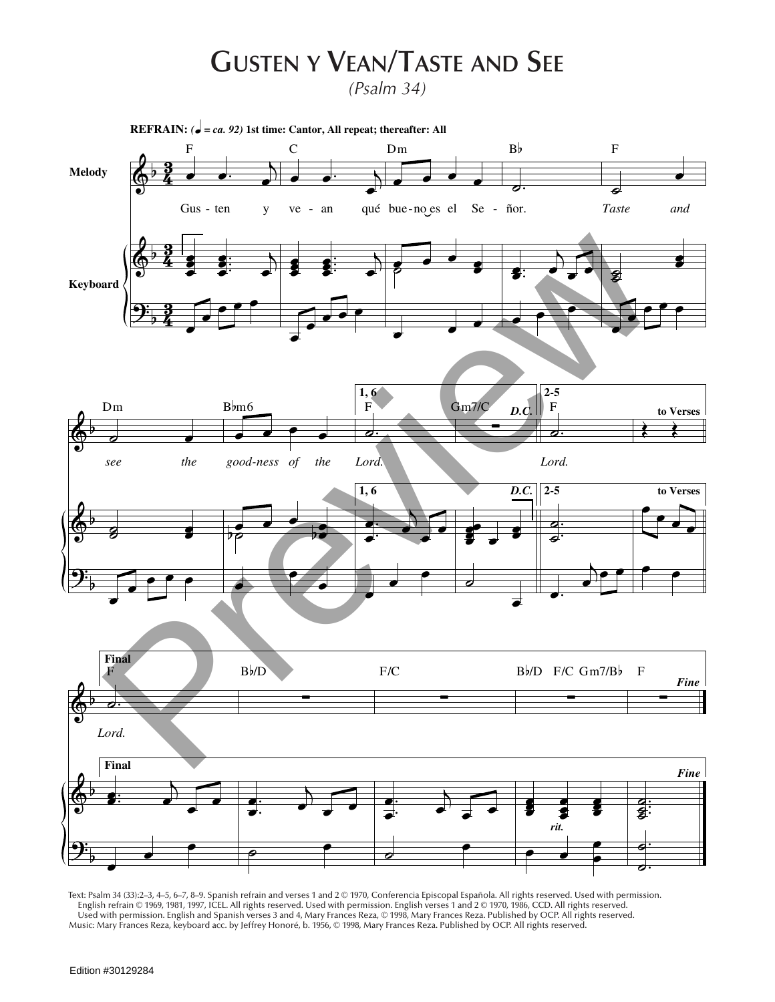## **Gusten y Vean/Taste and See**

*(Psalm 34)*



Text: Psalm 34 (33):2–3, 4–5, 6–7, 8–9. Spanish refrain and verses 1 and 2 © 1970, Conferencia Episcopal Española. All rights reserved. Used with permission. English refrain © 1969, 1981, 1997, ICEL. All rights reserved. Used with permission. English verses 1 and 2 © 1970, 1986, CCD. All rights reserved. Used with permission. English and Spanish verses 3 and 4, Mary Frances Reza, © 1998, Mary Frances Reza. Published by OCP. All rights reserved. Music: Mary Frances Reza, keyboard acc. by Jeffrey Honoré, b. 1956, © 1998, Mary Frances Reza. Published by OCP. All rights reserved.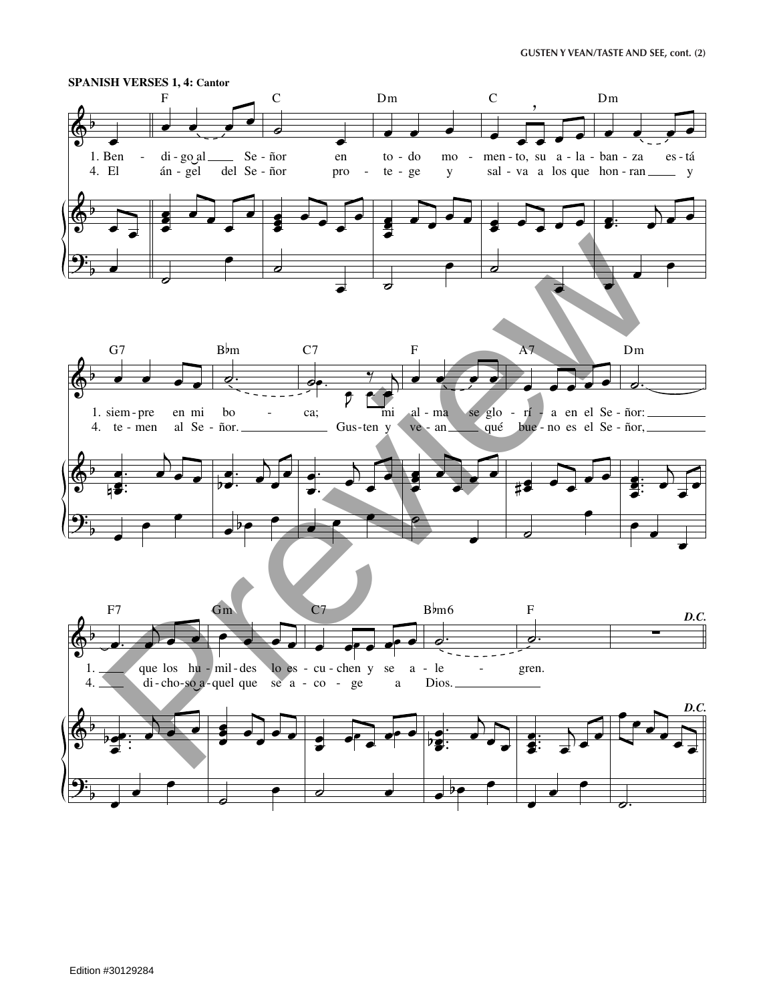

## Edition #30129284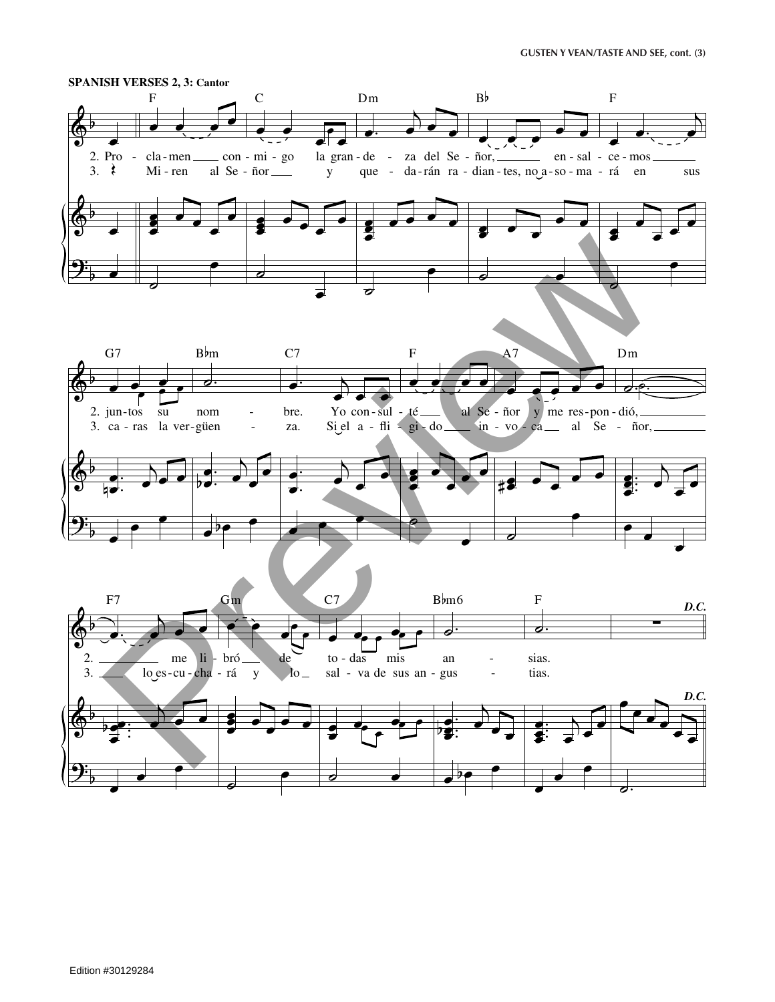